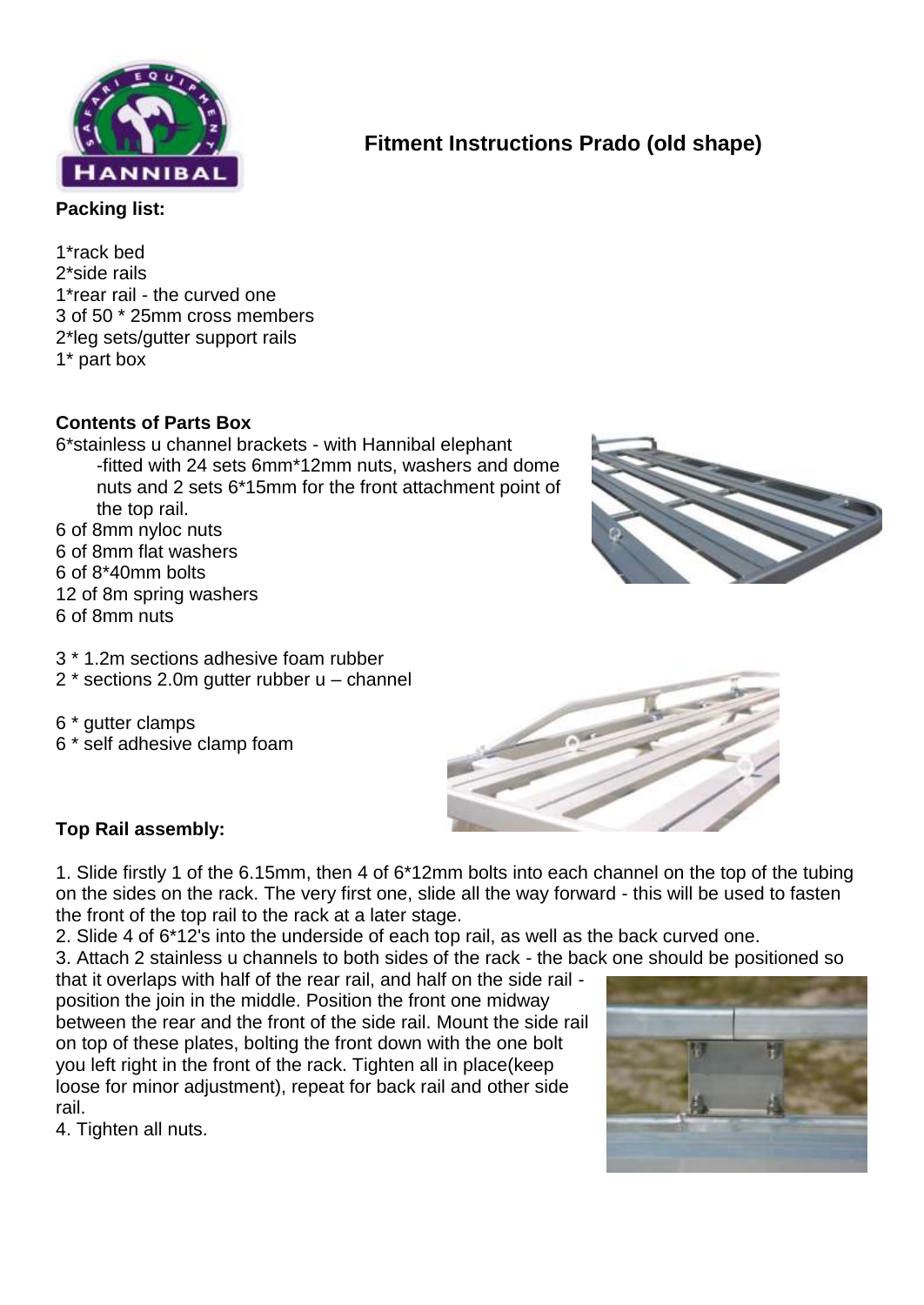

# **Fitment Instructions Prado (old shape)**

**Packing list:**

1\*rack bed 2\*side rails 1\*rear rail - the curved one 3 of 50 \* 25mm cross members 2\*leg sets/gutter support rails 1\* part box

### **Contents of Parts Box**

6\*stainless u channel brackets - with Hannibal elephant -fitted with 24 sets 6mm\*12mm nuts, washers and dome nuts and 2 sets 6\*15mm for the front attachment point of the top rail. 6 of 8mm nyloc nuts 6 of 8mm flat washers 6 of 8\*40mm bolts 12 of 8m spring washers 6 of 8mm nuts



- 3 \* 1.2m sections adhesive foam rubber
- 2 \* sections 2.0m gutter rubber u channel
- 6 \* gutter clamps 6 \* self adhesive clamp foam



#### **Top Rail assembly:**

1. Slide firstly 1 of the 6.15mm, then 4 of 6\*12mm bolts into each channel on the top of the tubing on the sides on the rack. The very first one, slide all the way forward - this will be used to fasten the front of the top rail to the rack at a later stage.

2. Slide 4 of 6\*12's into the underside of each top rail, as well as the back curved one.

3. Attach 2 stainless u channels to both sides of the rack - the back one should be positioned so

that it overlaps with half of the rear rail, and half on the side rail position the join in the middle. Position the front one midway between the rear and the front of the side rail. Mount the side rail on top of these plates, bolting the front down with the one bolt you left right in the front of the rack. Tighten all in place(keep loose for minor adjustment), repeat for back rail and other side rail.

4. Tighten all nuts.